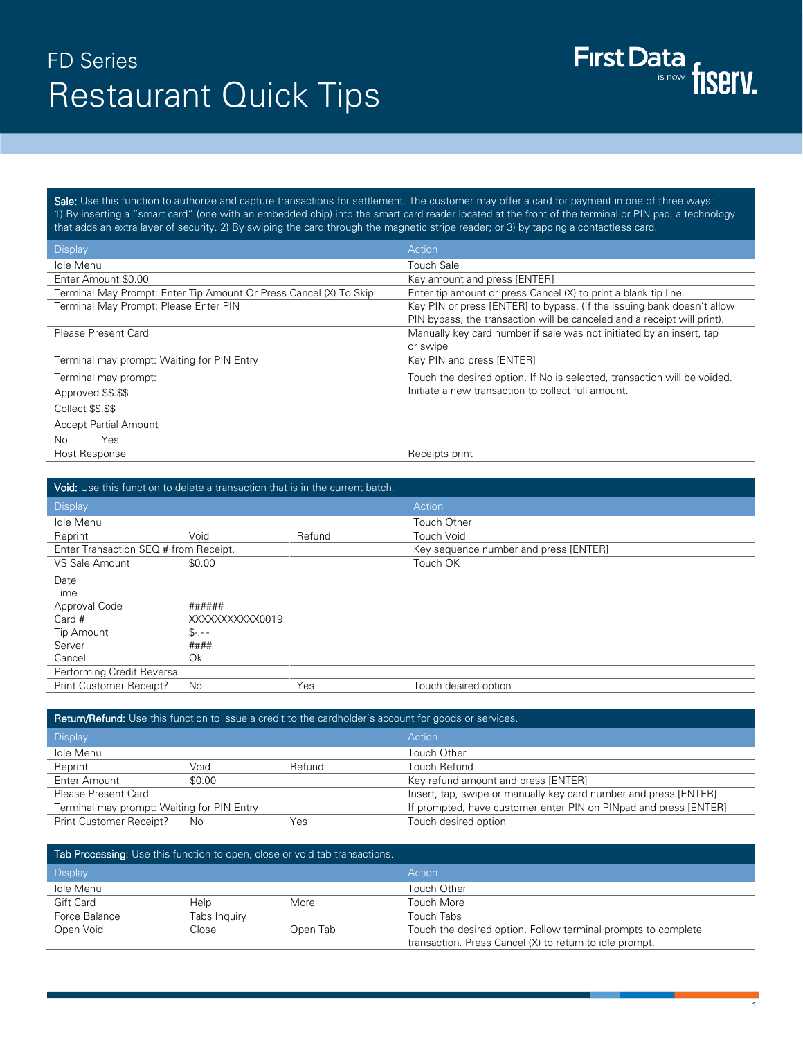## FD Series Restaurant Quick Tips

Sale: Use this function to authorize and capture transactions for settlement. The customer may offer a card for payment in one of three ways: 1) By inserting a "smart card" (one with an embedded chip) into the smart card reader located at the front of the terminal or PIN pad, a technology that adds an extra layer of security. 2) By swiping the card through the magnetic stripe reader; or 3) by tapping a contactless card.

| <b>Display</b>                                                    | Action                                                                   |
|-------------------------------------------------------------------|--------------------------------------------------------------------------|
| Idle Menu                                                         | <b>Touch Sale</b>                                                        |
| Enter Amount \$0.00                                               | Key amount and press [ENTER]                                             |
| Terminal May Prompt: Enter Tip Amount Or Press Cancel (X) To Skip | Enter tip amount or press Cancel (X) to print a blank tip line.          |
| Terminal May Prompt: Please Enter PIN                             | Key PIN or press [ENTER] to bypass. (If the issuing bank doesn't allow   |
|                                                                   | PIN bypass, the transaction will be canceled and a receipt will print).  |
| Please Present Card                                               | Manually key card number if sale was not initiated by an insert, tap     |
|                                                                   | or swipe                                                                 |
| Terminal may prompt: Waiting for PIN Entry                        | Key PIN and press [ENTER]                                                |
| Terminal may prompt:                                              | Touch the desired option. If No is selected, transaction will be voided. |
| Approved \$\$.\$\$                                                | Initiate a new transaction to collect full amount.                       |
| Collect \$\$.\$\$                                                 |                                                                          |
| <b>Accept Partial Amount</b>                                      |                                                                          |
| Yes.<br>No.                                                       |                                                                          |
| Host Response                                                     | Receipts print                                                           |

| Void: Use this function to delete a transaction that is in the current batch. |                |        |                                       |
|-------------------------------------------------------------------------------|----------------|--------|---------------------------------------|
| <b>Display</b>                                                                |                |        | Action                                |
| Idle Menu                                                                     |                |        | Touch Other                           |
| Reprint                                                                       | Void           | Refund | <b>Touch Void</b>                     |
| Enter Transaction SEQ # from Receipt.                                         |                |        | Key sequence number and press [ENTER] |
| VS Sale Amount                                                                | \$0.00         |        | Touch OK                              |
| Date                                                                          |                |        |                                       |
| Time                                                                          |                |        |                                       |
| Approval Code                                                                 | ######         |        |                                       |
| Card #                                                                        | XXXXXXXXXX0019 |        |                                       |
| Tip Amount                                                                    | $S_{7,-}$ -    |        |                                       |
| Server                                                                        | ####           |        |                                       |
| Cancel                                                                        | Ok             |        |                                       |
| Performing Credit Reversal                                                    |                |        |                                       |
| Print Customer Receipt?                                                       | No             | Yes    | Touch desired option                  |

| <b>Return/Refund:</b> Use this function to issue a credit to the cardholder's account for goods or services. |        |        |                                                                  |
|--------------------------------------------------------------------------------------------------------------|--------|--------|------------------------------------------------------------------|
| <b>Display</b>                                                                                               |        |        | Action                                                           |
| Idle Menu                                                                                                    |        |        | Touch Other                                                      |
| Reprint                                                                                                      | Void   | Refund | Touch Refund                                                     |
| Enter Amount                                                                                                 | \$0.00 |        | Key refund amount and press [ENTER]                              |
| Please Present Card                                                                                          |        |        | Insert, tap, swipe or manually key card number and press [ENTER] |
| Terminal may prompt: Waiting for PIN Entry                                                                   |        |        | If prompted, have customer enter PIN on PINpad and press [ENTER] |
| Print Customer Receipt?                                                                                      | No     | Yes    | Touch desired option                                             |

| Tab Processing: Use this function to open, close or void tab transactions. |              |          |                                                                                                                          |
|----------------------------------------------------------------------------|--------------|----------|--------------------------------------------------------------------------------------------------------------------------|
| <b>Display</b>                                                             |              |          | Action                                                                                                                   |
| Idle Menu                                                                  |              |          | Touch Other                                                                                                              |
| Gift Card                                                                  | Help         | More     | Touch More                                                                                                               |
| Force Balance                                                              | Tabs Inguiry |          | Touch Tabs                                                                                                               |
| Open Void                                                                  | Close        | Open Tab | Touch the desired option. Follow terminal prompts to complete<br>transaction. Press Cancel (X) to return to idle prompt. |

First Data fiserv.